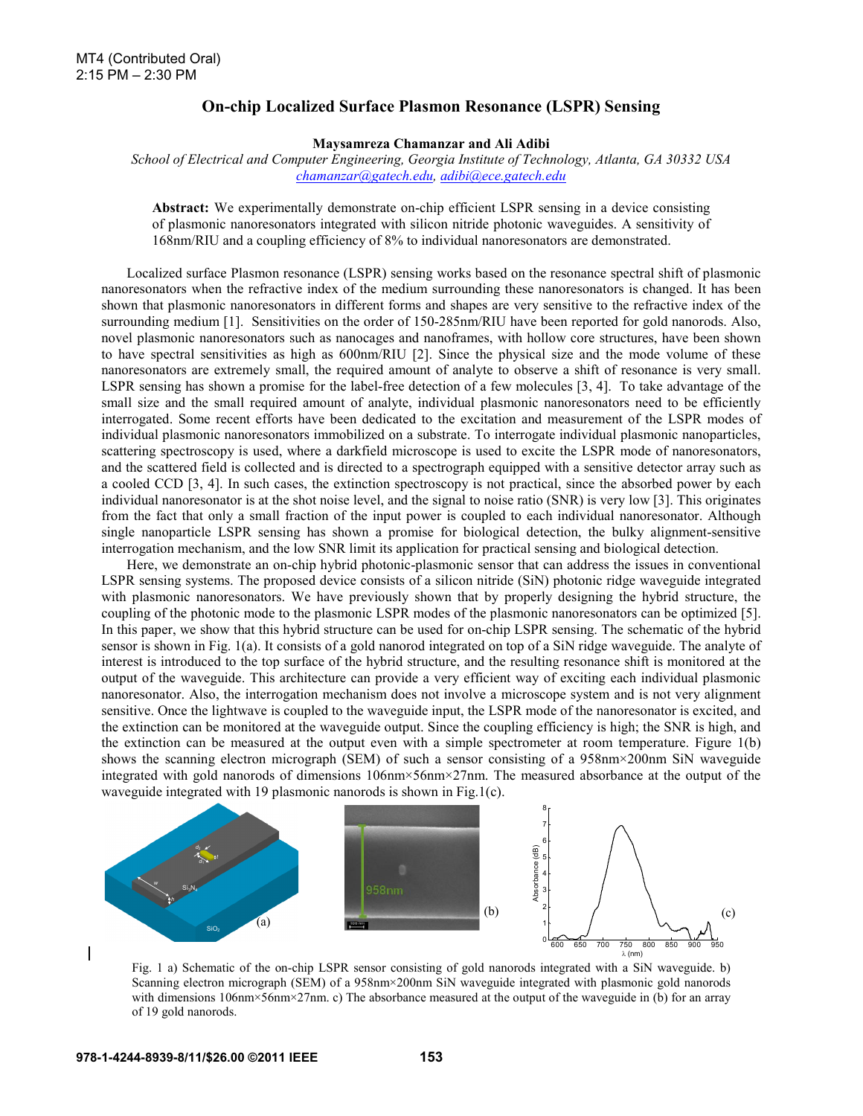## **On-chip Localized Surface Plasmon Resonance (LSPR) Sensing**

**Maysamreza Chamanzar and Ali Adibi** 

*School of Electrical and Computer Engineering, Georgia Institute of Technology, Atlanta, GA 30332 USA chamanzar@gatech.edu, adibi@ece.gatech.edu*

**Abstract:** We experimentally demonstrate on-chip efficient LSPR sensing in a device consisting of plasmonic nanoresonators integrated with silicon nitride photonic waveguides. A sensitivity of 168nm/RIU and a coupling efficiency of 8% to individual nanoresonators are demonstrated.

Localized surface Plasmon resonance (LSPR) sensing works based on the resonance spectral shift of plasmonic nanoresonators when the refractive index of the medium surrounding these nanoresonators is changed. It has been shown that plasmonic nanoresonators in different forms and shapes are very sensitive to the refractive index of the surrounding medium [1]. Sensitivities on the order of 150-285nm/RIU have been reported for gold nanorods. Also, novel plasmonic nanoresonators such as nanocages and nanoframes, with hollow core structures, have been shown to have spectral sensitivities as high as 600nm/RIU [2]. Since the physical size and the mode volume of these nanoresonators are extremely small, the required amount of analyte to observe a shift of resonance is very small. LSPR sensing has shown a promise for the label-free detection of a few molecules [3, 4]. To take advantage of the small size and the small required amount of analyte, individual plasmonic nanoresonators need to be efficiently interrogated. Some recent efforts have been dedicated to the excitation and measurement of the LSPR modes of individual plasmonic nanoresonators immobilized on a substrate. To interrogate individual plasmonic nanoparticles, scattering spectroscopy is used, where a darkfield microscope is used to excite the LSPR mode of nanoresonators, and the scattered field is collected and is directed to a spectrograph equipped with a sensitive detector array such as a cooled CCD [3, 4]. In such cases, the extinction spectroscopy is not practical, since the absorbed power by each individual nanoresonator is at the shot noise level, and the signal to noise ratio (SNR) is very low [3]. This originates from the fact that only a small fraction of the input power is coupled to each individual nanoresonator. Although single nanoparticle LSPR sensing has shown a promise for biological detection, the bulky alignment-sensitive interrogation mechanism, and the low SNR limit its application for practical sensing and biological detection.

Here, we demonstrate an on-chip hybrid photonic-plasmonic sensor that can address the issues in conventional LSPR sensing systems. The proposed device consists of a silicon nitride (SiN) photonic ridge waveguide integrated with plasmonic nanoresonators. We have previously shown that by properly designing the hybrid structure, the coupling of the photonic mode to the plasmonic LSPR modes of the plasmonic nanoresonators can be optimized [5]. In this paper, we show that this hybrid structure can be used for on-chip LSPR sensing. The schematic of the hybrid sensor is shown in Fig. 1(a). It consists of a gold nanorod integrated on top of a SiN ridge waveguide. The analyte of interest is introduced to the top surface of the hybrid structure, and the resulting resonance shift is monitored at the output of the waveguide. This architecture can provide a very efficient way of exciting each individual plasmonic nanoresonator. Also, the interrogation mechanism does not involve a microscope system and is not very alignment sensitive. Once the lightwave is coupled to the waveguide input, the LSPR mode of the nanoresonator is excited, and the extinction can be monitored at the waveguide output. Since the coupling efficiency is high; the SNR is high, and the extinction can be measured at the output even with a simple spectrometer at room temperature. Figure 1(b) shows the scanning electron micrograph (SEM) of such a sensor consisting of a 958nm×200nm SiN waveguide integrated with gold nanorods of dimensions 106nm×56nm×27nm. The measured absorbance at the output of the waveguide integrated with 19 plasmonic nanorods is shown in Fig.1(c).



Fig. 1 a) Schematic of the on-chip LSPR sensor consisting of gold nanorods integrated with a SiN waveguide. b) Scanning electron micrograph (SEM) of a 958nm×200nm SiN waveguide integrated with plasmonic gold nanorods with dimensions 106nm×56nm×27nm. c) The absorbance measured at the output of the waveguide in (b) for an array of 19 gold nanorods.